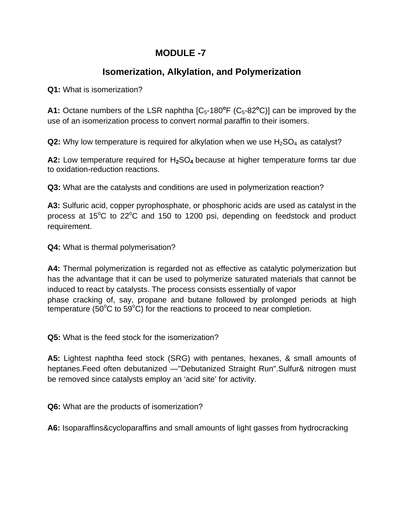## **MODULE -7**

## **Isomerization, Alkylation, and Polymerization**

**Q1:** What is isomerization?

A1: Octane numbers of the LSR naphtha [C<sub>5</sub>-180<sup>o</sup>F (C<sub>5</sub>-82<sup>o</sup>C)] can be improved by the use of an isomerization process to convert normal paraffin to their isomers.

**Q2:** Why low temperature is required for alkylation when we use  $H_2SO_4$  as catalyst?

A2: Low temperature required for H<sub>2</sub>SO<sub>4</sub> because at higher temperature forms tar due to oxidation-reduction reactions.

**Q3:** What are the catalysts and conditions are used in polymerization reaction?

**A3:** Sulfuric acid, copper pyrophosphate, or phosphoric acids are used as catalyst in the process at  $15^{\circ}$ C to  $22^{\circ}$ C and  $150$  to  $1200$  psi, depending on feedstock and product requirement.

**Q4:** What is thermal polymerisation?

**A4:** Thermal polymerization is regarded not as effective as catalytic polymerization but has the advantage that it can be used to polymerize saturated materials that cannot be induced to react by catalysts. The process consists essentially of vapor phase cracking of, say, propane and butane followed by prolonged periods at high temperature (50 $\mathrm{^{\circ}C}$  to 59 $\mathrm{^{\circ}C}$ ) for the reactions to proceed to near completion.

**Q5:** What is the feed stock for the isomerization?

**A5:** Lightest naphtha feed stock (SRG) with pentanes, hexanes, & small amounts of heptanes.Feed often debutanized —"Debutanized Straight Run".Sulfur& nitrogen must be removed since catalysts employ an 'acid site' for activity.

**Q6:** What are the products of isomerization?

**A6:** Isoparaffins&cycloparaffins and small amounts of light gasses from hydrocracking